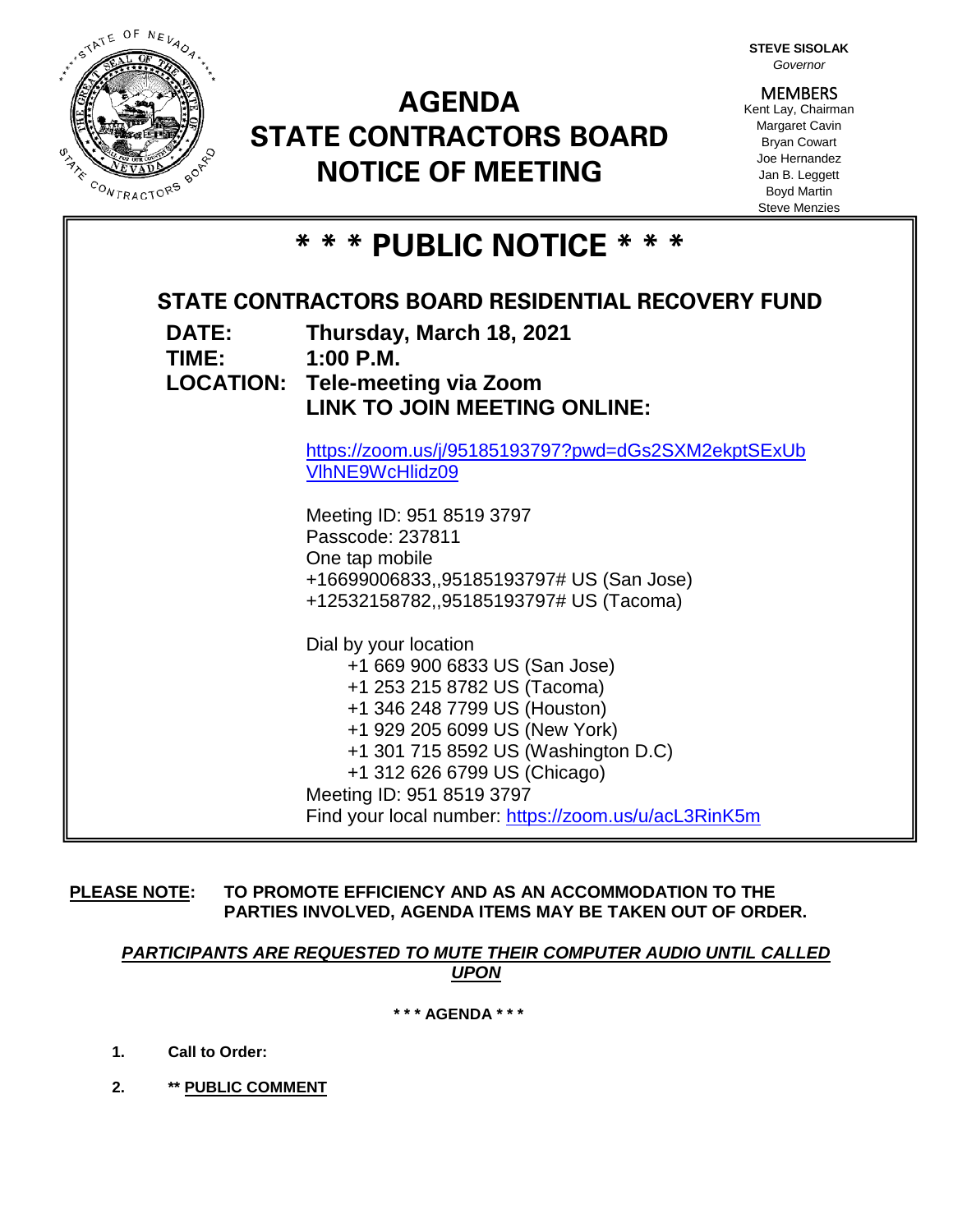

# **AGENDA STATE CONTRACTORS BOARD NOTICE OF MEETING**

**STEVE SISOLAK** *Governor*

**MEMBERS** Kent Lay, Chairman Margaret Cavin Bryan Cowart Joe Hernandez Jan B. Leggett Boyd Martin Steve Menzies

| * * * PUBLIC NOTICE * * *       |                                                                                                                                                                                                                                                            |
|---------------------------------|------------------------------------------------------------------------------------------------------------------------------------------------------------------------------------------------------------------------------------------------------------|
| <b>DATE:</b><br>TIME: 1:00 P.M. | STATE CONTRACTORS BOARD RESIDENTIAL RECOVERY FUND<br>Thursday, March 18, 2021<br><b>LOCATION: Tele-meeting via Zoom</b><br><b>LINK TO JOIN MEETING ONLINE:</b>                                                                                             |
|                                 | https://zoom.us/j/95185193797?pwd=dGs2SXM2ekptSExUb<br>VIhNE9WcHlidz09                                                                                                                                                                                     |
|                                 | Meeting ID: 951 8519 3797<br>Passcode: 237811                                                                                                                                                                                                              |
|                                 | One tap mobile<br>+16699006833,,95185193797# US (San Jose)<br>+12532158782,,95185193797# US (Tacoma)                                                                                                                                                       |
|                                 | Dial by your location<br>+1 669 900 6833 US (San Jose)<br>+1 253 215 8782 US (Tacoma)<br>+1 346 248 7799 US (Houston)<br>+1 929 205 6099 US (New York)<br>+1 301 715 8592 US (Washington D.C)<br>+1 312 626 6799 US (Chicago)<br>Meeting ID: 951 8519 3797 |
|                                 | Find your local number: https://zoom.us/u/acL3RinK5m                                                                                                                                                                                                       |
|                                 |                                                                                                                                                                                                                                                            |

**PLEASE NOTE: TO PROMOTE EFFICIENCY AND AS AN ACCOMMODATION TO THE PARTIES INVOLVED, AGENDA ITEMS MAY BE TAKEN OUT OF ORDER.**

*PARTICIPANTS ARE REQUESTED TO MUTE THEIR COMPUTER AUDIO UNTIL CALLED UPON*

**\* \* \* AGENDA \* \* \***

- **1. Call to Order:**
- **2. \*\* PUBLIC COMMENT**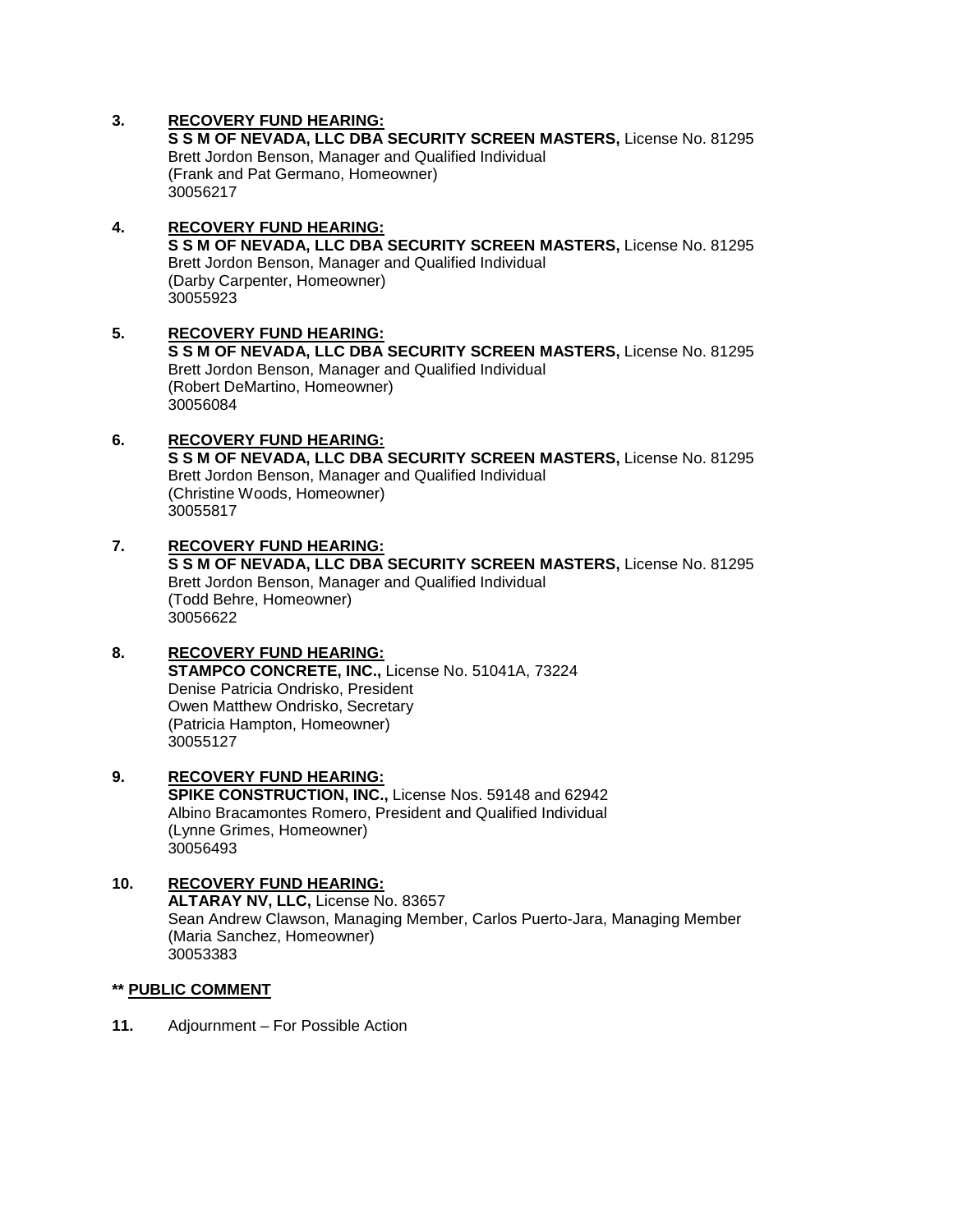## **3. RECOVERY FUND HEARING:**

**S S M OF NEVADA, LLC DBA SECURITY SCREEN MASTERS,** License No. 81295 Brett Jordon Benson, Manager and Qualified Individual (Frank and Pat Germano, Homeowner) 30056217

## **4. RECOVERY FUND HEARING: S S M OF NEVADA, LLC DBA SECURITY SCREEN MASTERS,** License No. 81295 Brett Jordon Benson, Manager and Qualified Individual (Darby Carpenter, Homeowner) 30055923

## **5. RECOVERY FUND HEARING: S S M OF NEVADA, LLC DBA SECURITY SCREEN MASTERS,** License No. 81295 Brett Jordon Benson, Manager and Qualified Individual (Robert DeMartino, Homeowner) 30056084

# **6. RECOVERY FUND HEARING:**

**S S M OF NEVADA, LLC DBA SECURITY SCREEN MASTERS,** License No. 81295 Brett Jordon Benson, Manager and Qualified Individual (Christine Woods, Homeowner) 30055817

## **7. RECOVERY FUND HEARING: S S M OF NEVADA, LLC DBA SECURITY SCREEN MASTERS,** License No. 81295 Brett Jordon Benson, Manager and Qualified Individual (Todd Behre, Homeowner)

30056622

# **8. RECOVERY FUND HEARING:**

**STAMPCO CONCRETE, INC.,** License No. 51041A, 73224 Denise Patricia Ondrisko, President Owen Matthew Ondrisko, Secretary (Patricia Hampton, Homeowner) 30055127

### **9. RECOVERY FUND HEARING: SPIKE CONSTRUCTION, INC.,** License Nos. 59148 and 62942 Albino Bracamontes Romero, President and Qualified Individual (Lynne Grimes, Homeowner) 30056493

#### **10. RECOVERY FUND HEARING: ALTARAY NV, LLC,** License No. 83657 Sean Andrew Clawson, Managing Member, Carlos Puerto-Jara, Managing Member (Maria Sanchez, Homeowner) 30053383

#### **\*\* PUBLIC COMMENT**

**11.** Adjournment – For Possible Action